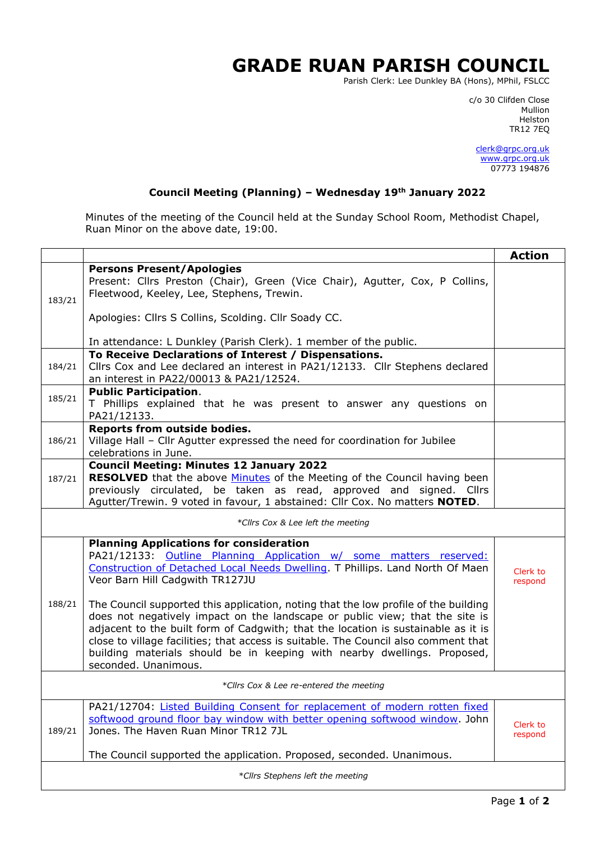## **GRADE RUAN PARISH COUNCIL**

Parish Clerk: Lee Dunkley BA (Hons), MPhil, FSLCC

c/o 30 Clifden Close man and the control of the control of the control of the control of the control of the control of the control o Helston TR12 7EQ

> [clerk@grpc.org.uk](mailto:clerk@grpc.org.uk) [www.grpc.org.uk](http://www.grpc.org.uk/) 07773 194876

## **Council Meeting (Planning) – Wednesday 19th January 2022**

Minutes of the meeting of the Council held at the Sunday School Room, Methodist Chapel, Ruan Minor on the above date, 19:00.

|                                   |                                                                                                                                                                                                                                                                                                                                                                                                                                                     | <b>Action</b>       |  |
|-----------------------------------|-----------------------------------------------------------------------------------------------------------------------------------------------------------------------------------------------------------------------------------------------------------------------------------------------------------------------------------------------------------------------------------------------------------------------------------------------------|---------------------|--|
| 183/21                            | <b>Persons Present/Apologies</b><br>Present: Cllrs Preston (Chair), Green (Vice Chair), Agutter, Cox, P Collins,<br>Fleetwood, Keeley, Lee, Stephens, Trewin.                                                                                                                                                                                                                                                                                       |                     |  |
|                                   | Apologies: Cllrs S Collins, Scolding. Cllr Soady CC.                                                                                                                                                                                                                                                                                                                                                                                                |                     |  |
|                                   | In attendance: L Dunkley (Parish Clerk). 1 member of the public.                                                                                                                                                                                                                                                                                                                                                                                    |                     |  |
| 184/21                            | To Receive Declarations of Interest / Dispensations.<br>Cllrs Cox and Lee declared an interest in PA21/12133. Cllr Stephens declared<br>an interest in PA22/00013 & PA21/12524.                                                                                                                                                                                                                                                                     |                     |  |
| 185/21                            | <b>Public Participation.</b><br>T Phillips explained that he was present to answer any questions on<br>PA21/12133.                                                                                                                                                                                                                                                                                                                                  |                     |  |
| 186/21                            | Reports from outside bodies.<br>Village Hall - Cllr Agutter expressed the need for coordination for Jubilee<br>celebrations in June.                                                                                                                                                                                                                                                                                                                |                     |  |
| 187/21                            | <b>Council Meeting: Minutes 12 January 2022</b><br><b>RESOLVED</b> that the above <b>Minutes</b> of the Meeting of the Council having been<br>previously circulated, be taken as read, approved and signed. Cllrs<br>Agutter/Trewin. 9 voted in favour, 1 abstained: Cllr Cox. No matters NOTED.                                                                                                                                                    |                     |  |
| *Cllrs Cox & Lee left the meeting |                                                                                                                                                                                                                                                                                                                                                                                                                                                     |                     |  |
| 188/21                            | <b>Planning Applications for consideration</b><br>PA21/12133: Outline Planning Application w/ some matters reserved:<br>Construction of Detached Local Needs Dwelling. T Phillips. Land North Of Maen<br>Veor Barn Hill Cadgwith TR127JU                                                                                                                                                                                                            | Clerk to<br>respond |  |
|                                   | The Council supported this application, noting that the low profile of the building<br>does not negatively impact on the landscape or public view; that the site is<br>adjacent to the built form of Cadgwith; that the location is sustainable as it is<br>close to village facilities; that access is suitable. The Council also comment that<br>building materials should be in keeping with nearby dwellings. Proposed,<br>seconded. Unanimous. |                     |  |
|                                   | *Cllrs Cox & Lee re-entered the meeting                                                                                                                                                                                                                                                                                                                                                                                                             |                     |  |
| 189/21                            | PA21/12704: Listed Building Consent for replacement of modern rotten fixed<br>softwood ground floor bay window with better opening softwood window. John<br>Jones. The Haven Ruan Minor TR12 7JL                                                                                                                                                                                                                                                    | Clerk to<br>respond |  |
|                                   | The Council supported the application. Proposed, seconded. Unanimous.                                                                                                                                                                                                                                                                                                                                                                               |                     |  |
| *Cllrs Stephens left the meeting  |                                                                                                                                                                                                                                                                                                                                                                                                                                                     |                     |  |